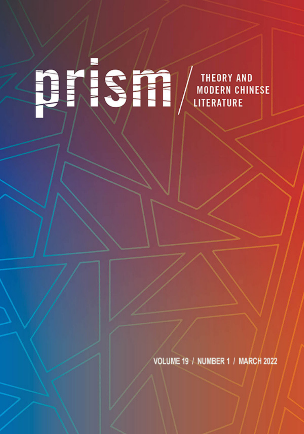# ntism **THEORY AND<br>MODERN CHINESE** LITERATURE

VOLUME 19 / NUMBER 1 / MARCH 2022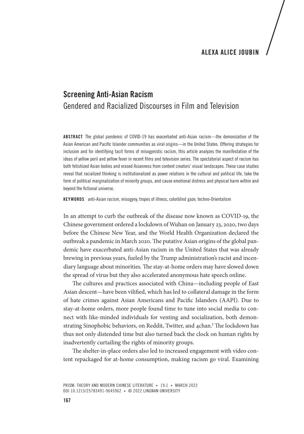### ALEXA ALICE JOUBIN

## Screening Anti-Asian Racism Gendered and Racialized Discourses in Film and Television

ABSTRACT The global pandemic of COVID-19 has exacerbated anti-Asian racism—the demonization of the Asian American and Pacific Islander communities as viral origins—in the United States. Offering strategies for inclusion and for identifying tacit forms of misogynistic racism, this article analyzes the manifestation of the ideas of yellow peril and yellow fever in recent films and television series. The spectatorial aspect of racism has both fetishized Asian bodies and erased Asianness from content creators' visual landscapes. These case studies reveal that racialized thinking is institutionalized as power relations in the cultural and political life, take the form of political marginalization of minority groups, and cause emotional distress and physical harm within and beyond the fictional universe.

KEYWORDS anti-Asian racism, misogyny, tropes of illness, colorblind gaze, techno-Orientalism

In an attempt to curb the outbreak of the disease now known as COVID-19, the Chinese government ordered a lockdown of Wuhan on January 23, 2020, two days before the Chinese New Year, and the World Health Organization declared the outbreak a pandemic in March 2020. The putative Asian origins of the global pandemic have exacerbated anti-Asian racism in the United States that was already brewing in previous years, fueled by the Trump administration's racist and incendiary language about minorities. The stay-at-home orders may have slowed down the spread of virus but they also accelerated anonymous hate speech online.

The cultures and practices associated with China—including people of East Asian descent—have been vilified, which has led to collateral damage in the form of hate crimes against Asian Americans and Pacific Islanders (AAPI). Due to stay-at-home orders, more people found time to tune into social media to connect with like-minded individuals for venting and socialization, both demonstrating Sinophobic behaviors, on Reddit, Twitter, and 4chan.<sup>1</sup> The lockdown has thus not only distended time but also turned back the clock on human rights by inadvertently curtailing the rights of minority groups.

The shelter-in-place orders also led to increased engagement with video content repackaged for at-home consumption, making racism go viral. Examining

PRISM: THEORY AND MODERN CHINESE LITERATURE • 19:1 • MARCH 2022 DOI 10.1215/25783491-9645962 • © 2022 LINGNAN UNIVERSITY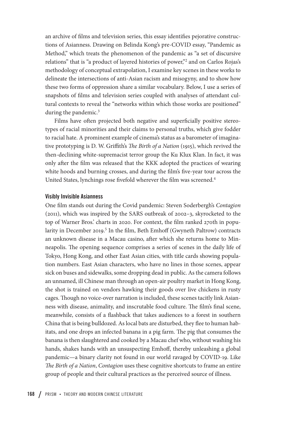an archive of films and television series, this essay identifies pejorative constructions of Asianness. Drawing on Belinda Kong's pre-COVID essay, "Pandemic as Method," which treats the phenomenon of the pandemic as "a set of discursive relations" that is "a product of layered histories of power,"2 and on Carlos Rojas's methodology of conceptual extrapolation, I examine key scenes in these works to delineate the intersections of anti-Asian racism and misogyny, and to show how these two forms of oppression share a similar vocabulary. Below, I use a series of snapshots of films and television series coupled with analyses of attendant cultural contexts to reveal the "networks within which those works are positioned" during the pandemic.<sup>3</sup>

Films have often projected both negative and superficially positive stereotypes of racial minorities and their claims to personal truths, which give fodder to racial hate. A prominent example of cinema's status as a barometer of imaginative prototyping is D. W. Griffith's *The Birth of a Nation* (1915), which revived the then-declining white-supremacist terror group the Ku Klux Klan. In fact, it was only after the film was released that the KKK adopted the practices of wearing white hoods and burning crosses, and during the film's five-year tour across the United States, lynchings rose fivefold wherever the film was screened.<sup>4</sup>

#### Visibly Invisible Asianness

One film stands out during the Covid pandemic: Steven Soderbergh's *Contagion* (2011), which was inspired by the SARS outbreak of 2002–3, skyrocketed to the top of Warner Bros.' charts in 2020. For context, the film ranked 270th in popularity in December 2019.<sup>5</sup> In the film, Beth Emhoff (Gwyneth Paltrow) contracts an unknown disease in a Macau casino, after which she returns home to Minneapolis. The opening sequence comprises a series of scenes in the daily life of Tokyo, Hong Kong, and other East Asian cities, with title cards showing population numbers. East Asian characters, who have no lines in those scenes, appear sick on buses and sidewalks, some dropping dead in public. As the camera follows an unnamed, ill Chinese man through an open-air poultry market in Hong Kong, the shot is trained on vendors hawking their goods over live chickens in rusty cages. Though no voice-over narration is included, these scenes tacitly link Asianness with disease, animality, and inscrutable food culture. The film's final scene, meanwhile, consists of a flashback that takes audiences to a forest in southern China that is being bulldozed. As local bats are disturbed, they flee to human habitats, and one drops an infected banana in a pig farm. The pig that consumes the banana is then slaughtered and cooked by a Macau chef who, without washing his hands, shakes hands with an unsuspecting Emhoff, thereby unleashing a global pandemic—a binary clarity not found in our world ravaged by COVID-19. Like *The Birth of a Nation*, *Contagion* uses these cognitive shortcuts to frame an entire group of people and their cultural practices as the perceived source of illness.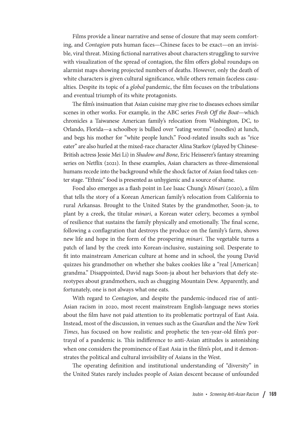Films provide a linear narrative and sense of closure that may seem comforting, and *Contagion* puts human faces—Chinese faces to be exact—on an invisible, viral threat. Mixing fictional narratives about characters struggling to survive with visualization of the spread of contagion, the film offers global roundups on alarmist maps showing projected numbers of deaths. However, only the death of white characters is given cultural significance, while others remain faceless casualties. Despite its topic of a *global* pandemic, the film focuses on the tribulations and eventual triumph of its white protagonists.

The film's insinuation that Asian cuisine may give rise to diseases echoes similar scenes in other works. For example, in the ABC series *Fresh Off the Boat*—which chronicles a Taiwanese American family's relocation from Washington, DC, to Orlando, Florida—a schoolboy is bullied over "eating worms" (noodles) at lunch, and begs his mother for "white people lunch." Food-related insults such as "rice eater" are also hurled at the mixed-race character Alina Starkov (played by Chinese-British actress Jessie Mei Li) in *Shadow and Bone*, Eric Heisserer's fantasy streaming series on Netflix (2021). In these examples, Asian characters as three-dimensional humans recede into the background while the shock factor of Asian food takes center stage. "Ethnic" food is presented as unhygienic and a source of shame.

Food also emerges as a flash point in Lee Isaac Chung's *Minari* (2020), a film that tells the story of a Korean American family's relocation from California to rural Arkansas. Brought to the United States by the grandmother, Soon-ja, to plant by a creek, the titular *minari*, a Korean water celery, becomes a symbol of resilience that sustains the family physically and emotionally. The final scene, following a conflagration that destroys the produce on the family's farm, shows new life and hope in the form of the prospering *minari*. The vegetable turns a patch of land by the creek into Korean-inclusive, sustaining soil. Desperate to fit into mainstream American culture at home and in school, the young David quizzes his grandmother on whether she bakes cookies like a "real [American] grandma." Disappointed, David nags Soon-ja about her behaviors that defy stereotypes about grandmothers, such as chugging Mountain Dew. Apparently, and fortunately, one is not always what one eats.

With regard to *Contagion*, and despite the pandemic-induced rise of anti-Asian racism in 2020, most recent mainstream English-language news stories about the film have not paid attention to its problematic portrayal of East Asia. Instead, most of the discussion, in venues such as the *Guardian* and the *New York Times*, has focused on how realistic and prophetic the ten-year-old film's portrayal of a pandemic is. This indifference to anti-Asian attitudes is astonishing when one considers the prominence of East Asia in the film's plot, and it demonstrates the political and cultural invisibility of Asians in the West.

The operating definition and institutional understanding of "diversity" in the United States rarely includes people of Asian descent because of unfounded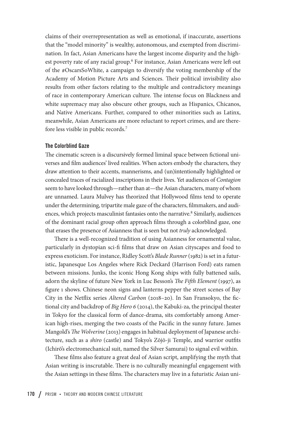claims of their overrepresentation as well as emotional, if inaccurate, assertions that the "model minority" is wealthy, autonomous, and exempted from discrimination. In fact, Asian Americans have the largest income disparity and the highest poverty rate of any racial group.<sup>6</sup> For instance, Asian Americans were left out of the #OscarsSoWhite, a campaign to diversify the voting membership of the Academy of Motion Picture Arts and Sciences. Their political invisibility also results from other factors relating to the multiple and contradictory meanings of race in contemporary American culture. The intense focus on Blackness and white supremacy may also obscure other groups, such as Hispanics, Chicanos, and Native Americans. Further, compared to other minorities such as Latinx, meanwhile, Asian Americans are more reluctant to report crimes, and are therefore less visible in public records.7

#### The Colorblind Gaze

The cinematic screen is a discursively formed liminal space between fictional universes and film audiences' lived realities. When actors embody the characters, they draw attention to their accents, mannerisms, and (un)intentionally highlighted or concealed traces of racialized inscriptions in their lives. Yet audiences of *Contagion* seem to have looked through—rather than at—the Asian characters, many of whom are unnamed. Laura Mulvey has theorized that Hollywood films tend to operate under the determining, tripartite male gaze of the characters, filmmakers, and audiences, which projects masculinist fantasies onto the narrative.<sup>8</sup> Similarly, audiences of the dominant racial group often approach films through a colorblind gaze, one that erases the presence of Asianness that is seen but not *truly* acknowledged.

There is a well-recognized tradition of using Asianness for ornamental value, particularly in dystopian sci-fi films that draw on Asian cityscapes and food to express exoticism. For instance, Ridley Scott's *Blade Runner* (1982) is set in a futuristic, Japanesque Los Angeles where Rick Deckard (Harrison Ford) eats ramen between missions. Junks, the iconic Hong Kong ships with fully battened sails, adorn the skyline of future New York in Luc Besson's *The Fifth Element* (1997), as figure 1 shows. Chinese neon signs and lanterns pepper the street scenes of Bay City in the Netflix series *Altered Carbon* (2018–20). In San Fransokyo, the fictional city and backdrop of *Big Hero 6* (2014), the Kabuki-za, the principal theater in Tokyo for the classical form of dance-drama, sits comfortably among American high-rises, merging the two coasts of the Pacific in the sunny future. James Mangold's *The Wolverine* (2013) engages in habitual deployment of Japanese architecture, such as a *shiro* (castle) and Tokyo's Zōjō-ji Temple, and warrior outfits (Ichirō's electromechanical suit, named the Silver Samurai) to signal evil within.

These films also feature a great deal of Asian script, amplifying the myth that Asian writing is inscrutable. There is no culturally meaningful engagement with the Asian settings in these films. The characters may live in a futuristic Asian uni-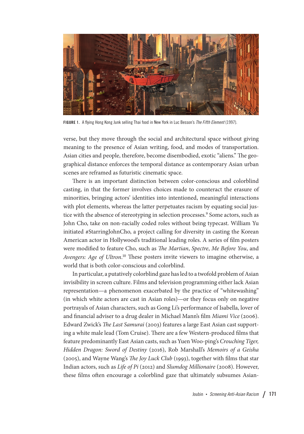

FIGURE 1. A flying Hong Kong Junk selling Thai food in New York in Luc Besson's *The Fifth Element* (1997).

verse, but they move through the social and architectural space without giving meaning to the presence of Asian writing, food, and modes of transportation. Asian cities and people, therefore, become disembodied, exotic "aliens." The geographical distance enforces the temporal distance as contemporary Asian urban scenes are reframed as futuristic cinematic space.

There is an important distinction between color-conscious and colorblind casting, in that the former involves choices made to counteract the erasure of minorities, bringing actors' identities into intentioned, meaningful interactions with plot elements, whereas the latter perpetuates racism by equating social justice with the absence of stereotyping in selection processes.<sup>9</sup> Some actors, such as John Cho, take on non-racially coded roles without being typecast. William Yu initiated #StarringJohnCho, a project calling for diversity in casting the Korean American actor in Hollywood's traditional leading roles. A series of film posters were modified to feature Cho, such as *The Martian*, *Spectre*, *Me Before You*, and *Avengers: Age of Ultron*. 10 These posters invite viewers to imagine otherwise, a world that is both color-conscious and colorblind.

In particular, a putatively colorblind gaze has led to a twofold problem of Asian invisibility in screen culture. Films and television programming either lack Asian representation—a phenomenon exacerbated by the practice of "whitewashing" (in which white actors are cast in Asian roles)—or they focus only on negative portrayals of Asian characters, such as Gong Li's performance of Isabella, lover of and financial adviser to a drug dealer in Michael Mann's film *Miami Vice* (2006). Edward Zwick's *The Last Samurai* (2003) features a large East Asian cast supporting a white male lead (Tom Cruise). There are a few Western-produced films that feature predominantly East Asian casts, such as Yuen Woo-ping's *Crouching Tiger, Hidden Dragon: Sword of Destiny* (2016), Rob Marshall's *Memoirs of a Geisha* (2005), and Wayne Wang's *The Joy Luck Club* (1993), together with films that star Indian actors, such as *Life of Pi* (2012) and *Slumdog Millionaire* (2008). However, these films often encourage a colorblind gaze that ultimately subsumes Asian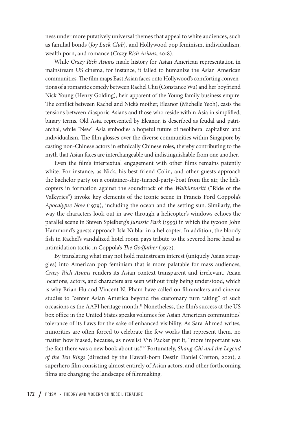ness under more putatively universal themes that appeal to white audiences, such as familial bonds (*Joy Luck Club*), and Hollywood pop feminism, individualism, wealth porn, and romance (*Crazy Rich Asians*, 2018).

While *Crazy Rich Asians* made history for Asian American representation in mainstream US cinema, for instance, it failed to humanize the Asian American communities. The film maps East Asian faces onto Hollywood's comforting conventions of a romantic comedy between Rachel Chu (Constance Wu) and her boyfriend Nick Young (Henry Golding), heir apparent of the Young family business empire. The conflict between Rachel and Nick's mother, Eleanor (Michelle Yeoh), casts the tensions between diasporic Asians and those who reside within Asia in simplified, binary terms. Old Asia, represented by Eleanor, is described as feudal and patriarchal, while "New" Asia embodies a hopeful future of neoliberal capitalism and individualism. The film glosses over the diverse communities within Singapore by casting non-Chinese actors in ethnically Chinese roles, thereby contributing to the myth that Asian faces are interchangeable and indistinguishable from one another.

Even the film's intertextual engagement with other films remains patently white. For instance, as Nick, his best friend Colin, and other guests approach the bachelor party on a container-ship-turned-party-boat from the air, the helicopters in formation against the soundtrack of the *Walkürenritt* ("Ride of the Valkyries") invoke key elements of the iconic scene in Francis Ford Coppola's *Apocalypse Now* (1979), including the ocean and the setting sun. Similarly, the way the characters look out in awe through a helicopter's windows echoes the parallel scene in Steven Spielberg's *Jurassic Park* (1993) in which the tycoon John Hammond's guests approach Isla Nublar in a helicopter. In addition, the bloody fish in Rachel's vandalized hotel room pays tribute to the severed horse head as intimidation tactic in Coppola's *The Godfather* (1972).

By translating what may not hold mainstream interest (uniquely Asian struggles) into American pop feminism that is more palatable for mass audiences, *Crazy Rich Asians* renders its Asian context transparent and irrelevant. Asian locations, actors, and characters are seen without truly being understood, which is why Brian Hu and Vincent N. Pham have called on filmmakers and cinema studies to "center Asian America beyond the customary turn taking" of such occasions as the AAPI heritage month.<sup>11</sup> Nonetheless, the film's success at the US box office in the United States speaks volumes for Asian American communities' tolerance of its flaws for the sake of enhanced visibility. As Sara Ahmed writes, minorities are often forced to celebrate the few works that represent them, no matter how biased, because, as novelist Vin Packer put it, "more important was the fact there was a new book about us."12 Fortunately, *Shang-Chi and the Legend of the Ten Rings* (directed by the Hawaii-born Destin Daniel Cretton, 2021), a superhero film consisting almost entirely of Asian actors, and other forthcoming films are changing the landscape of filmmaking.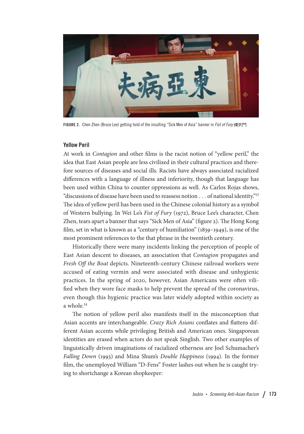

FIGURE 2. Chen Zhen (Bruce Lee) getting hold of the insulting "Sick Men of Asia" banner in *Fist of Fury* 精武門.

#### Yellow Peril

At work in *Contagion* and other films is the racist notion of "yellow peril," the idea that East Asian people are less civilized in their cultural practices and therefore sources of diseases and social ills. Racists have always associated racialized differences with a language of illness and inferiority, though that language has been used within China to counter oppressions as well. As Carlos Rojas shows, "discussions of disease have been used to reassess notion . . . of national identity."13 The idea of yellow peril has been used in the Chinese colonial history as a symbol of Western bullying. In Wei Lo's *Fist of Fury* (1972), Bruce Lee's character, Chen Zhen, tears apart a banner that says "Sick Men of Asia" (figure 2). The Hong Kong film, set in what is known as a "century of humiliation" (1839–1949), is one of the most prominent references to the that phrase in the twentieth century.

Historically there were many incidents linking the perception of people of East Asian descent to diseases, an association that *Contagion* propagates and *Fresh Off the Boat* depicts. Nineteenth-century Chinese railroad workers were accused of eating vermin and were associated with disease and unhygienic practices. In the spring of 2020, however, Asian Americans were often vilified when they wore face masks to help prevent the spread of the coronavirus, even though this hygienic practice was later widely adopted within society as a whole.14

The notion of yellow peril also manifests itself in the misconception that Asian accents are interchangeable. *Crazy Rich Asians* conflates and flattens different Asian accents while privileging British and American ones. Singaporean identities are erased when actors do not speak Singlish. Two other examples of linguistically driven imaginations of racialized otherness are Joel Schumacher's *Falling Down* (1993) and Mina Shum's *Double Happiness* (1994). In the former film, the unemployed William "D-Fens" Foster lashes out when he is caught trying to shortchange a Korean shopkeeper: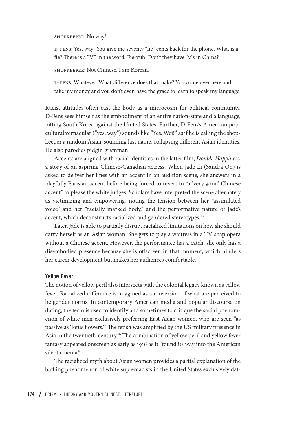shopkeeper: No way!

d-fens: Yes, way! You give me seventy "fie" cents back for the phone. What is a fie? There is a "V" in the word. Fie-vuh. Don't they have "v"s in China?

shopkeeper: Not Chinese. I am Korean.

d-fens: Whatever. What difference does that make? You come over here and take my money and you don't even have the grace to learn to speak my language.

Racist attitudes often cast the body as a microcosm for political community. D-Fens sees himself as the embodiment of an entire nation-state and a language, pitting South Korea against the United States. Further, D-Fens's American popcultural vernacular ("yes, way") sounds like "Yes, Wei!" as if he is calling the shopkeeper a random Asian-sounding last name, collapsing different Asian identities. He also parodies pidgin grammar.

Accents are aligned with racial identities in the latter film, *Double Happiness*, a story of an aspiring Chinese-Canadian actress. When Jade Li (Sandra Oh) is asked to deliver her lines with an accent in an audition scene, she answers in a playfully Parisian accent before being forced to revert to "a 'very good' Chinese accent" to please the white judges. Scholars have interpreted the scene alternately as victimizing and empowering, noting the tension between her "assimilated voice" and her "racially marked body," and the performative nature of Jade's accent, which deconstructs racialized and gendered stereotypes.<sup>15</sup>

Later, Jade is able to partially disrupt racialized limitations on how she should carry herself as an Asian woman. She gets to play a waitress in a TV soap opera without a Chinese accent. However, the performance has a catch: she only has a disembodied presence because she is offscreen in that moment, which hinders her career development but makes her audiences comfortable.

#### Yellow Fever

The notion of yellow peril also intersects with the colonial legacy known as yellow fever. Racialized difference is imagined as an inversion of what are perceived to be gender norms. In contemporary American media and popular discourse on dating, the term is used to identify and sometimes to critique the social phenomenon of white men exclusively preferring East Asian women, who are seen "as passive as 'lotus flowers.'" The fetish was amplified by the US military presence in Asia in the twentieth-century.<sup>16</sup> The combination of yellow peril and yellow fever fantasy appeared onscreen as early as 1916 as it "found its way into the American silent cinema."<sup>17</sup>

The racialized myth about Asian women provides a partial explanation of the bafing phenomenon of white supremacists in the United States exclusively dat-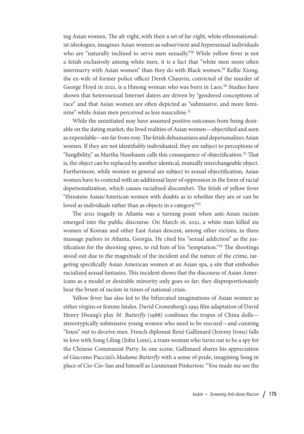ing Asian women. The alt-right, with their a set of far-right, white ethnonationalist ideologies, imagines Asian women as subservient and hypersexual individuals who are "naturally inclined to serve men sexually."<sup>18</sup> While yellow fever is not a fetish exclusively among white men, it is a fact that "white men more often intermarry with Asian women" than they do with Black women.<sup>19</sup> Kellie Xiong, the ex-wife of former police officer Derek Chauvin, convicted of the murder of George Floyd in 2021, is a Hmong woman who was born in Laos.<sup>20</sup> Studies have shown that heterosexual Internet daters are driven by "gendered conceptions of race" and that Asian women are often depicted as "submissive, and more feminine" while Asian men perceived as less masculine.21

While the uninitiated may have assumed positive outcomes from being desirable on the dating market, the lived realities of Asian women—objectified and seen as expendable—are far from rosy. The fetish dehumanizes and depersonalizes Asian women. If they are not identifiably individuated, they are subject to perceptions of "fungibility," as Martha Nussbaum calls this consequence of objectification.22 That is, the object can be replaced by another identical, mutually interchangeable object. Furthermore, while women in general are subject to sexual objectification, Asian women have to contend with an additional layer of oppression in the form of racial depersonalization, which causes racialized discomfort. The fetish of yellow fever "threatens Asian/American women with doubts as to whether they are or can be loved as individuals rather than as objects in a category."23

The 2021 tragedy in Atlanta was a turning point when anti-Asian racism emerged into the public discourse. On March 16, 2021, a white man killed six women of Korean and other East Asian descent, among other victims, in three massage parlors in Atlanta, Georgia. He cited his "sexual addiction" as the justification for the shooting spree, to rid him of his "temptation."<sup>24</sup> The shootings stood out due to the magnitude of the incident and the nature of the crime, targeting specifically Asian American women at an Asian spa, a site that embodies racialized sexual fantasies. This incident shows that the discourse of Asian Americans as a model or desirable minority only goes so far; they disproportionately bear the brunt of racism in times of national crisis.

Yellow fever has also led to the bifurcated imaginations of Asian women as either virgins or femme fatales. David Cronenberg's 1993 film adaptation of David Henry Hwang's play *M. Butterfly* (1988) combines the tropes of China dolls stereotypically submissive young women who need to be rescued—and cunning "foxes" out to deceive men. French diplomat René Gallimard (Jeremy Irons) falls in love with Song Liling (John Lone), a trans woman who turns out to be a spy for the Chinese Communist Party. In one scene, Gallimard shares his appreciation of Giacomo Puccini's *Madame Butterfly* with a sense of pride, imagining Song in place of Cio-Cio-San and himself as Lieutenant Pinkerton: "You made me see the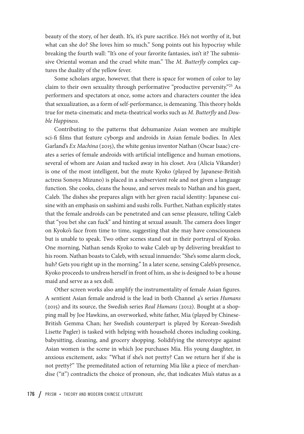beauty of the story, of her death. It's, it's pure sacrifice. He's not worthy of it, but what can she do? She loves him so much." Song points out his hypocrisy while breaking the fourth wall: "It's one of your favorite fantasies, isn't it? The submissive Oriental woman and the cruel white man." The *M. Butterfly* complex captures the duality of the yellow fever.

Some scholars argue, however, that there is space for women of color to lay claim to their own sexuality through performative "productive perversity."25 As performers and spectators at once, some actors and characters counter the idea that sexualization, as a form of self-performance, is demeaning. This theory holds true for meta-cinematic and meta-theatrical works such as *M. Butterfly* and *Double Happiness*.

Contributing to the patterns that dehumanize Asian women are multiple sci-fi films that feature cyborgs and androids in Asian female bodies. In Alex Garland's *Ex Machina* (2015), the white genius inventor Nathan (Oscar Isaac) creates a series of female androids with artificial intelligence and human emotions, several of whom are Asian and tucked away in his closet. Ava (Alicia Vikander) is one of the most intelligent, but the mute Kyoko (played by Japanese-British actress Sonoya Mizuno) is placed in a subservient role and not given a language function. She cooks, cleans the house, and serves meals to Nathan and his guest, Caleb. The dishes she prepares align with her given racial identity: Japanese cuisine with an emphasis on sashimi and sushi rolls. Further, Nathan explicitly states that the female androids can be penetrated and can sense pleasure, telling Caleb that "you bet she can fuck" and hinting at sexual assault. The camera does linger on Kyoko's face from time to time, suggesting that she may have consciousness but is unable to speak. Two other scenes stand out in their portrayal of Kyoko. One morning, Nathan sends Kyoko to wake Caleb up by delivering breakfast to his room. Nathan boasts to Caleb, with sexual innuendo: "She's some alarm clock, huh? Gets you right up in the morning." In a later scene, sensing Caleb's presence, Kyoko proceeds to undress herself in front of him, as she is designed to be a house maid and serve as a sex doll.

Other screen works also amplify the instrumentality of female Asian figures. A sentient Asian female android is the lead in both Channel 4's series *Humans* (2015) and its source, the Swedish series *Real Humans* (2012). Bought at a shopping mall by Joe Hawkins, an overworked, white father, Mia (played by Chinese-British Gemma Chan; her Swedish counterpart is played by Korean-Swedish Lisette Pagler) is tasked with helping with household chores including cooking, babysitting, cleaning, and grocery shopping. Solidifying the stereotype against Asian women is the scene in which Joe purchases Mia. His young daughter, in anxious excitement, asks: "What if she's not pretty? Can we return her if she is not pretty?" The premeditated action of returning Mia like a piece of merchandise ("it") contradicts the choice of pronoun, *she*, that indicates Mia's status as a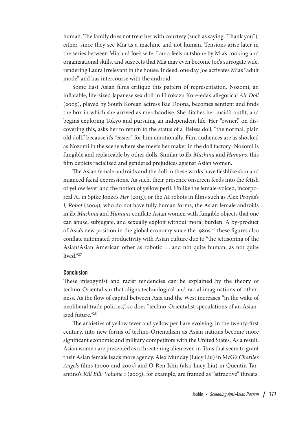human. The family does not treat her with courtesy (such as saying "Thank you"), either, since they see Mia as a machine and not human. Tensions arise later in the series between Mia and Joe's wife. Laura feels outshone by Mia's cooking and organizational skills, and suspects that Mia may even become Joe's surrogate wife, rendering Laura irrelevant in the house. Indeed, one day Joe activates Mia's "adult mode" and has intercourse with the android.

Some East Asian films critique this pattern of representation. Nozomi, an inflatable, life-sized Japanese sex doll in Hirokazu Kore-eda's allegorical *Air Doll* (2009), played by South Korean actress Bae Doona, becomes sentient and finds the box in which she arrived as merchandise. She ditches her maid's outfit, and begins exploring Tokyo and pursuing an independent life. Her "owner," on discovering this, asks her to return to the status of a lifeless doll, "the normal, plain old doll," because it's "easier" for him emotionally. Film audiences are as shocked as Nozomi in the scene where she meets her maker in the doll factory: Nozomi is fungible and replaceable by other dolls. Similar to *Ex Machina* and *Humans*, this film depicts racialized and gendered prejudices against Asian women.

The Asian female androids and the doll in these works have fleshlike skin and nuanced facial expressions. As such, their presence onscreen feeds into the fetish of yellow fever and the notion of yellow peril. Unlike the female-voiced, incorporeal AI in Spike Jonze's *Her* (2013), or the AI robots in films such as Alex Proyas's *I, Robot* (2004), who do not have fully human forms, the Asian female androids in *Ex Machina* and *Humans* conflate Asian women with fungible objects that one can abuse, subjugate, and sexually exploit without moral burden. A by-product of Asia's new position in the global economy since the 1980s,<sup>26</sup> these figures also conflate automated productivity with Asian culture due to "the jettisoning of the Asian/Asian American other as robotic . . . and not quite human, as not quite lived."27

#### Conclusion

These misogynist and racist tendencies can be explained by the theory of techno-Orientalism that aligns technological and racial imaginations of otherness. As the flow of capital between Asia and the West increases "in the wake of neoliberal trade policies," so does "techno-Orientalist speculations of an Asianized future."28

The anxieties of yellow fever and yellow peril are evolving, in the twenty-first century, into new forms of techno-Orientalism as Asian nations become more significant economic and military competitors with the United States. As a result, Asian women are presented as a threatening alien even in films that seem to grant their Asian female leads more agency. Alex Munday (Lucy Liu) in McG's *Charlie's Angels* films (2000 and 2003) and O-Ren Ishii (also Lucy Liu) in Quentin Tarantino's *Kill Bill: Volume 1* (2003), for example, are framed as "attractive" threats.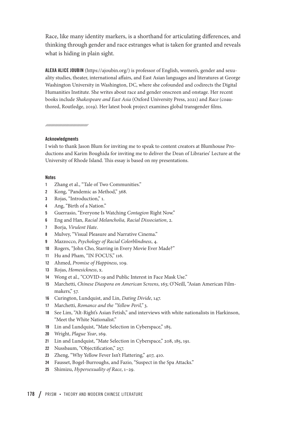Race, like many identity markers, is a shorthand for articulating differences, and thinking through gender and race estranges what is taken for granted and reveals what is hiding in plain sight.

ALEXA ALICE JOUBIN (<https://ajoubin.org/>) is professor of English, women's, gender and sexuality studies, theater, international affairs, and East Asian languages and literatures at George Washington University in Washington, DC, where she cofounded and codirects the Digital Humanities Institute. She writes about race and gender onscreen and onstage. Her recent books include *Shakespeare and East Asia* (Oxford University Press, 2021) and *Race* (coauthored, Routledge, 2019). Her latest book project examines global transgender films.

nnunnunnunnunnun

#### Acknowledgments

I wish to thank Jason Blum for inviting me to speak to content creators at Blumhouse Productions and Karim Boughida for inviting me to deliver the Dean of Libraries' Lecture at the University of Rhode Island. This essay is based on my presentations.

#### **Notes**

- 1 Zhang et al., "Tale of Two Communities."
- 2 Kong, "Pandemic as Method," 368.
- 3 Rojas, "Introduction," 1.
- 4 Ang, "Birth of a Nation."
- 5 Guerrasio, "Everyone Is Watching *Contagion* Right Now."
- 6 Eng and Han, *Racial Melancholia, Racial Dissociation*, 2.
- 7 Borja, *Virulent Hate*.
- 8 Mulvey, "Visual Pleasure and Narrative Cinema."
- 9 Mazzocco, *Psychology of Racial Colorblindness*, 4.
- 10 Rogers, "John Cho, Starring in Every Movie Ever Made?"
- 11 Hu and Pham, "IN FOCUS," 116.
- 12 Ahmed, *Promise of Happiness*, 109.
- 13 Rojas, *Homesickness*, x.
- 14 Wong et al., "COVID-19 and Public Interest in Face Mask Use."
- 15 Marchetti, *Chinese Diaspora on American Screens*, 163; O'Neill, "Asian American Filmmakers," 57.
- 16 Curington, Lundquist, and Lin, *Dating Divide*, 147.
- 17 Marchetti, *Romance and the "Yellow Peril,"* 3.
- 18 See Lim, "Alt-Right's Asian Fetish," and interviews with white nationalists in Harkinson, "Meet the White Nationalist."
- 19 Lin and Lundquist, "Mate Selection in Cyberspace," 185.
- 20 Wright, *Plague Year*, 169.
- 21 Lin and Lundquist, "Mate Selection in Cyberspace," 208, 185, 191.
- 22 Nussbaum, "Objectification," 257.
- 23 Zheng, "Why Yellow Fever Isn't Flattering," 407, 410.
- 24 Fausset, Bogel-Burroughs, and Fazio, "Suspect in the Spa Attacks."
- 25 Shimizu, *Hypersexuality of Race*, 1–29.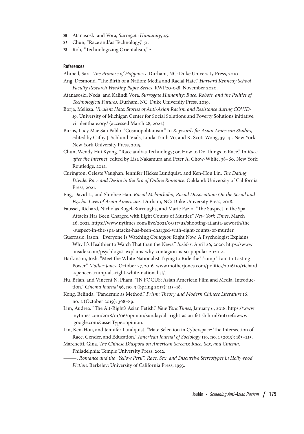- 26 Atanasoski and Vora, *Surrogate Humanity*, 45.
- 27 Chun, "Race and/as Technology," 51.
- 28 Roh, "Technologizing Orientalism," 2.

#### References

Ahmed, Sara. *The Promise of Happiness*. Durham, NC: Duke University Press, 2010.

- Ang, Desmond. "The Birth of a Nation: Media and Racial Hate." *Harvard Kennedy School Faculty Research Working Paper Series*, RWP20-038, November 2020.
- Atanasoski, Neda, and Kalindi Vora. *Surrogate Humanity: Race, Robots, and the Politics of Technological Futures*. Durham, NC: Duke University Press, 2019.
- Borja, Melissa. *Virulent Hate: Stories of Anti-Asian Racism and Resistance during COVID-19*. University of Michigan Center for Social Solutions and Poverty Solutions initiative, [virulenthate.org/](http://virulenthate.org/) (accessed March 28, 2022).
- Burns, Lucy Mae San Pablo. "Cosmopolitanism." In *Keywords for Asian American Studies*, edited by Cathy J. Schlund-Vials, Linda Trinh Võ, and K. Scott Wong, 39–41. New York: New York University Press, 2015.
- Chun, Wendy Hui Kyong. "Race and/as Technology; or, How to Do Things to Race." In *Race after the Internet*, edited by Lisa Nakamura and Peter A. Chow-White, 38–60. New York: Routledge, 2012.
- Curington, Celeste Vaughan, Jennifer Hickes Lundquist, and Ken-Hou Lin. *The Dating Divide: Race and Desire in the Era of Online Romance*. Oakland: University of California Press, 2021.
- Eng, David L., and Shinhee Han. *Racial Melancholia, Racial Dissociation: On the Social and Psychic Lives of Asian Americans*. Durham, NC: Duke University Press, 2018.
- Fausset, Richard, Nicholas Bogel-Burroughs, and Marie Fazio. "The Suspect in the Spa Attacks Has Been Charged with Eight Counts of Murder." *New York Times*, March 26, 2021. [https://www.nytimes.com/live/2021/03/17/us/shooting-atlanta-acworth/the](https://www.nytimes.com/live/2021/03/17/us/shooting-atlanta-acworth/the-suspect-in-the-spa-attacks-has-been-charged-with-eight-counts-of-murder) [-suspect-in-the-spa-attacks-has-been-charged-with-eight-counts-of-murder.](https://www.nytimes.com/live/2021/03/17/us/shooting-atlanta-acworth/the-suspect-in-the-spa-attacks-has-been-charged-with-eight-counts-of-murder)
- Guerrasio, Jason, "Everyone Is Watching *Contagion* Right Now. A Psychologist Explains Why It's Healthier to Watch That than the News." *Insider*, April 26, 2020. [https://www](https://www.insider.com/psychlogist-explains-why-contagion-is-so-popular-2020-4) [.insider.com/psychlogist-explains-why-contagion-is-so-popular-2020-4.](https://www.insider.com/psychlogist-explains-why-contagion-is-so-popular-2020-4)
- Harkinson, Josh. "Meet the White Nationalist Trying to Ride the Trump Train to Lasting Power." *Mother Jones*, October 27, 2016. [www.motherjones.com/politics/2016/10/richard](http://www.motherjones.com/politics/2016/10/richard-spencer-trump-alt-right-white-nationalist/) [-spencer-trump-alt-right-white-nationalist/](http://www.motherjones.com/politics/2016/10/richard-spencer-trump-alt-right-white-nationalist/).
- Hu, Brian, and Vincent N. Pham. "IN FOCUS: Asian American Film and Media, Introduction." *Cinema Journal* 56, no. 3 (Spring 2017): 115–18.
- Kong, Belinda. "Pandemic as Method." *Prism: Theory and Modern Chinese Literature* 16, no. 2 (October 2019): 368–89.
- Lim, Audrea. "The Alt-Right's Asian Fetish." *New York Times*, January 6, 2018. [https://www](https://www.nytimes.com/2018/01/06/opinion/sunday/alt-right-asian-fetish.html?mtrref=www.google.com&assetType=opinion) [.nytimes.com/2018/01/06/opinion/sunday/alt-right-asian-fetish.html?mtrref=www](https://www.nytimes.com/2018/01/06/opinion/sunday/alt-right-asian-fetish.html?mtrref=www.google.com&assetType=opinion) [.google.com&assetType=opinion.](https://www.nytimes.com/2018/01/06/opinion/sunday/alt-right-asian-fetish.html?mtrref=www.google.com&assetType=opinion)
- Lin, Ken-Hou, and Jennifer Lundquist. "Mate Selection in Cyberspace: The Intersection of Race, Gender, and Education." *American Journal of Sociology* 119, no. 1 (2013): 183–215.
- Marchetti, Gina. *The Chinese Diaspora on American Screens: Race, Sex, and Cinema*. Philadelphia: Temple University Press, 2012.
	- ———. *Romance and the "Yellow Peril": Race, Sex, and Discursive Stereotypes in Hollywood Fiction*. Berkeley: University of California Press, 1993.